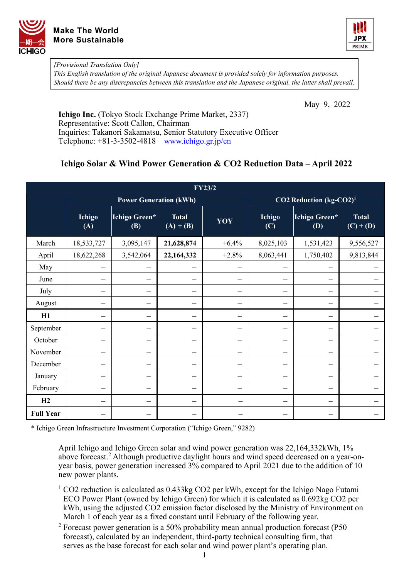



*[Provisional Translation Only]* 

*This English translation of the original Japanese document is provided solely for information purposes. Should there be any discrepancies between this translation and the Japanese original, the latter shall prevail.*

May 9, 2022

**Ichigo Inc.** (Tokyo Stock Exchange Prime Market, 2337) Representative: Scott Callon, Chairman Inquiries: Takanori Sakamatsu, Senior Statutory Executive Officer Telephone: +81-3-3502-4818 [www.ichigo.gr.jp/en](https://www.ichigo.gr.jp/en)

## **Ichigo Solar & Wind Power Generation & CO2 Reduction Data – April 2022**

| <b>FY23/2</b>    |               |                               |                             |                                     |                                |                      |                             |  |  |  |  |
|------------------|---------------|-------------------------------|-----------------------------|-------------------------------------|--------------------------------|----------------------|-----------------------------|--|--|--|--|
|                  |               | <b>Power Generation (kWh)</b> |                             | CO2 Reduction (kg-CO2) <sup>1</sup> |                                |                      |                             |  |  |  |  |
|                  | Ichigo<br>(A) | Ichigo Green*<br>(B)          | <b>Total</b><br>$(A) + (B)$ | YOY                                 | <b>Ichigo</b><br>(C)           | Ichigo Green*<br>(D) | <b>Total</b><br>$(C) + (D)$ |  |  |  |  |
| March            | 18,533,727    | 3,095,147                     | 21,628,874                  | $+6.4%$                             | 8,025,103                      | 1,531,423            | 9,556,527                   |  |  |  |  |
| April            | 18,622,268    | 3,542,064                     | 22,164,332                  | $+2.8%$                             | 8,063,441                      | 1,750,402            | 9,813,844                   |  |  |  |  |
| May              |               |                               |                             |                                     |                                |                      |                             |  |  |  |  |
| June             |               |                               |                             |                                     |                                |                      |                             |  |  |  |  |
| July             | —             | —                             |                             |                                     | —                              | —                    |                             |  |  |  |  |
| August           | —             | $\overline{\phantom{0}}$      | —                           |                                     | $\overline{\phantom{0}}$       | —                    |                             |  |  |  |  |
| H1               | —             | —                             | —                           | -                                   | —                              | —                    |                             |  |  |  |  |
| September        | —             | —                             |                             |                                     | $\overline{\phantom{0}}$       | —                    |                             |  |  |  |  |
| October          | —             | —                             |                             | $\overbrace{\qquad \qquad }$        | $\overline{\phantom{0}}$       | —                    |                             |  |  |  |  |
| November         |               |                               |                             |                                     | -                              |                      |                             |  |  |  |  |
| December         | —             | —                             |                             | $\overline{\phantom{0}}$            | $\overline{\phantom{0}}$       |                      |                             |  |  |  |  |
| January          | -             | $\overline{\phantom{0}}$      |                             |                                     | —                              | ÷.                   |                             |  |  |  |  |
| February         |               |                               |                             |                                     | $\qquad \qquad \longleftarrow$ | $\equiv$             |                             |  |  |  |  |
| H2               | —             |                               |                             | -                                   | —                              | -                    |                             |  |  |  |  |
| <b>Full Year</b> |               |                               |                             |                                     |                                |                      |                             |  |  |  |  |

\* Ichigo Green Infrastructure Investment Corporation ("Ichigo Green," 9282)

April Ichigo and Ichigo Green solar and wind power generation was 22,164,332kWh, 1% above forecast.<sup>2</sup> Although productive daylight hours and wind speed decreased on a year-onyear basis, power generation increased 3% compared to April 2021 due to the addition of 10 new power plants.

- $1$  CO2 reduction is calculated as 0.433kg CO2 per kWh, except for the Ichigo Nago Futami ECO Power Plant (owned by Ichigo Green) for which it is calculated as 0.692kg CO2 per kWh, using the adjusted CO2 emission factor disclosed by the Ministry of Environment on March 1 of each year as a fixed constant until February of the following year.
- <sup>2</sup> Forecast power generation is a 50% probability mean annual production forecast (P50 forecast), calculated by an independent, third-party technical consulting firm, that serves as the base forecast for each solar and wind power plant's operating plan.